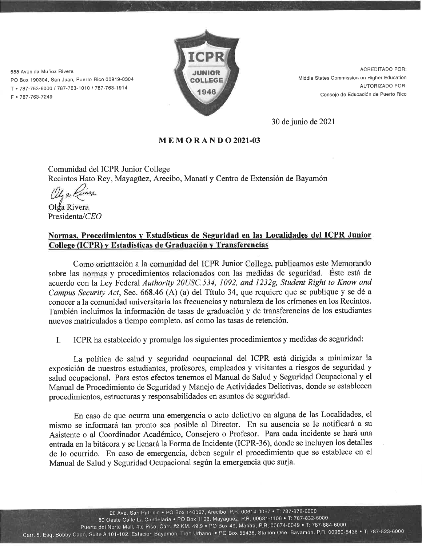558 Avenida Muñoz Rivera PO Box 190304, San Juan, Puerto Rico 00919-0304 T · 787-753-6000 / 787-763-1010 / 787-763-1914 F · 787-763-7249



**ACREDITADO POR:** Middle States Commission on Higher Education AUTORIZADO POR: Consejo de Educación de Puerto Rico

30 de junio de 2021

#### **MEMORANDO2021-03**

Comunidad del ICPR Junior College

Recintos Hato Rey, Mayagüez, Arecibo, Manatí y Centro de Extensión de Bayamón

Olga Rivera Presidenta/CEO

#### Normas, Procedimientos y Estadísticas de Seguridad en las Localidades del ICPR Junior College (ICPR) y Estadísticas de Graduación y Transferencias

Como orientación a la comunidad del ICPR Junior College, publicamos este Memorando sobre las normas y procedimientos relacionados con las medidas de seguridad. Éste está de acuerdo con la Ley Federal Authority 20USC.534, 1092, and 1232g, Student Right to Know and Campus Security Act, Sec. 668.46 (A) (a) del Título 34, que requiere que se publique y se dé a conocer a la comunidad universitaria las frecuencias y naturaleza de los crímenes en los Recintos. También incluimos la información de tasas de graduación y de transferencias de los estudiantes nuevos matriculados a tiempo completo, así como las tasas de retención.

ICPR ha establecido y promulga los siguientes procedimientos y medidas de seguridad: I.

La política de salud y seguridad ocupacional del ICPR está dirigida a minimizar la exposición de nuestros estudiantes, profesores, empleados y visitantes a riesgos de seguridad y salud ocupacional. Para estos efectos tenemos el Manual de Salud y Seguridad Ocupacional y el Manual de Procedimiento de Seguridad y Manejo de Actividades Delictivas, donde se establecen procedimientos, estructuras y responsabilidades en asuntos de seguridad.

En caso de que ocurra una emergencia o acto delictivo en alguna de las Localidades, el mismo se informará tan pronto sea posible al Director. En su ausencia se le notificará a su Asistente o al Coordinador Académico, Consejero o Profesor. Para cada incidente se hará una entrada en la bitácora y se llenará la Forma de Incidente (ICPR-36), donde se incluyen los detalles de lo ocurrido. En caso de emergencia, deben seguir el procedimiento que se establece en el Manual de Salud y Seguridad Ocupacional según la emergencia que surja.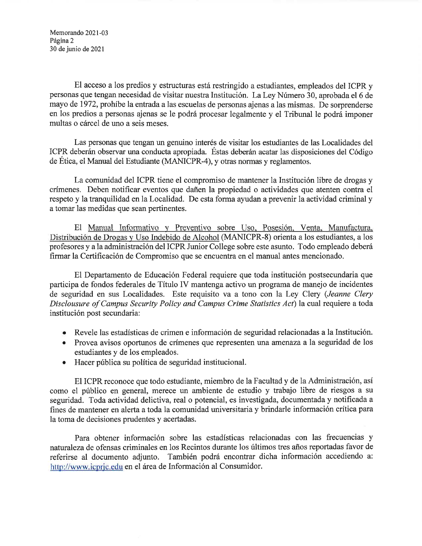Memorando 2021-03 Página 2 30 de junio de 2021

El acceso a los predios y estructuras está restringido a estudiantes, empleados del ICPR y personas que tengan necesidad de visitar nuestra Institución. La Ley Número 30, aprobada el 6 de mayo de 1972, prohíbe la entrada a las escuelas de personas ajenas a las mismas. De sorprenderse en los predios a personas ajenas se le podrá procesar legalmente y el Tribunal le podrá imponer multas o cárcel de uno a seis meses.

Las personas que tengan un genuino interés de visitar los estudiantes de las Localidades del ICPR deberán observar una conducta apropiada. Éstas deberán acatar las disposiciones del Código de Ética, el Manual del Estudiante (MANICPR-4), y otras normas y reglamentos.

La comunidad del ICPR tiene el compromiso de mantener la Institución libre de drogas y crímenes. Deben notificar eventos que dañen la propiedad o actividades que atenten contra el respeto y la tranquilidad en la Localidad. De esta forma ayudan a prevenir la actividad criminal y a tomar las medidas que sean pertinentes.

El Manual Informativo y Preventivo sobre Uso, Posesión, Venta, Manufactura, Distribución de Drogas y Uso Indebido de Alcohol (MANICPR-8) orienta a los estudiantes, a los profesores y a la administración del ICPR Junior College sobre este asunto. Todo empleado deberá firmar la Certificación de Compromiso que se encuentra en el manual antes mencionado.

El Departamento de Educación Federal requiere que toda institución postsecundaria que participa de fondos federales de Título IV mantenga activo un programa de manejo de incidentes de seguridad en sus Localidades. Este requisito va a tono con la Ley Clery (Jeanne Clery Disclousure of Campus Security Policy and Campus Crime Statistics Act) la cual requiere a toda institución post secundaria:

- · Revele las estadísticas de crimen e información de seguridad relacionadas a la Institución.
- Provea avisos oportunos de crímenes que representen una amenaza a la seguridad de los estudiantes y de los empleados.
- Hacer pública su política de seguridad institucional.  $\bullet$

El ICPR reconoce que todo estudiante, miembro de la Facultad y de la Administración, así como el público en general, merece un ambiente de estudio y trabajo libre de riesgos a su seguridad. Toda actividad delictiva, real o potencial, es investigada, documentada y notificada a fines de mantener en alerta a toda la comunidad universitaria y brindarle información crítica para la toma de decisiones prudentes y acertadas.

Para obtener información sobre las estadísticas relacionadas con las frecuencias y naturaleza de ofensas criminales en los Recintos durante los últimos tres años reportadas favor de referirse al documento adjunto. También podrá encontrar dicha información accediendo a: http://www.icprjc.edu en el área de Información al Consumidor.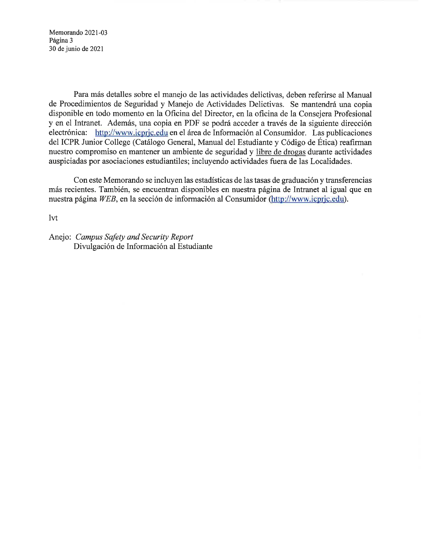Memorando 2021-03 Página 3 30 de junio de 2021

Para más detalles sobre el manejo de las actividades delictivas, deben referirse al Manual de Procedimientos de Seguridad y Manejo de Actividades Delictivas. Se mantendrá una copia disponible en todo momento en la Oficina del Director, en la oficina de la Consejera Profesional y en el Intranet. Además, una copia en PDF se podrá acceder a través de la siguiente dirección electrónica: http://www.icprjc.edu en el área de Información al Consumidor. Las publicaciones del ICPR Junior College (Catálogo General, Manual del Estudiante y Código de Ética) reafirman nuestro compromiso en mantener un ambiente de seguridad y libre de drogas durante actividades auspiciadas por asociaciones estudiantiles; incluyendo actividades fuera de las Localidades.

Con este Memorando se incluyen las estadísticas de las tasas de graduación y transferencias más recientes. También, se encuentran disponibles en nuestra página de Intranet al igual que en nuestra página WEB, en la sección de información al Consumidor (http://www.icprjc.edu).

 $1<sub>vt</sub>$ 

Anejo: Campus Safety and Security Report Divulgación de Información al Estudiante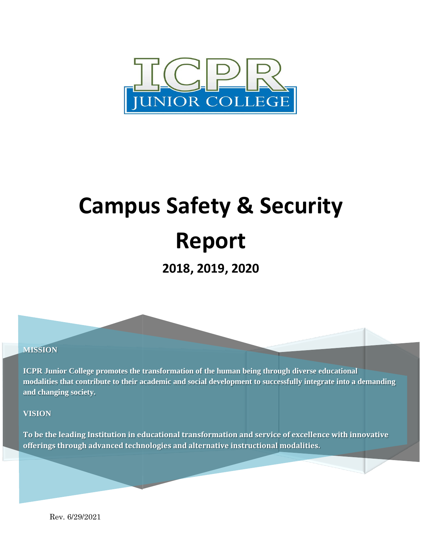

# **Campus Safety & Security Report**

**2018, 2019, 2020**

#### **MISSION**

**ICPR Junior College promotes the transformation of the human being through diverse educational modalities that contribute to their academic and social development to successfully integrate into a demanding and changing society.** 

#### **VISION**

**To be the leading Institution in educational transformation and service of excellence with innovative offerings through advanced technologies and alternative instructional modalities.**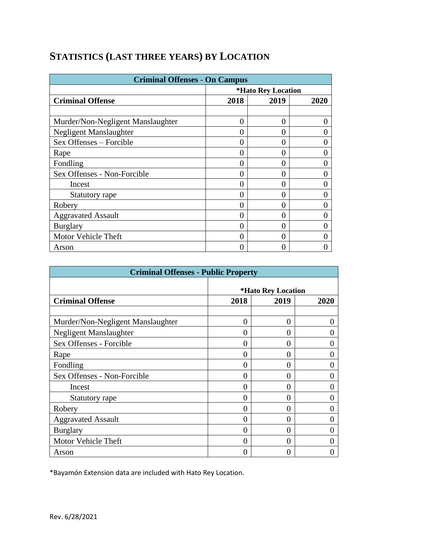| <b>Criminal Offenses - On Campus</b> |               |                                  |   |  |  |  |
|--------------------------------------|---------------|----------------------------------|---|--|--|--|
|                                      |               | <i><b>*Hato Rey Location</b></i> |   |  |  |  |
| <b>Criminal Offense</b>              | 2018          | 2019                             |   |  |  |  |
|                                      |               |                                  |   |  |  |  |
| Murder/Non-Negligent Manslaughter    | 0             | $\Omega$                         | 0 |  |  |  |
| Negligent Manslaughter               | 0             | $\mathbf{\Omega}$                |   |  |  |  |
| Sex Offenses - Forcible              |               |                                  |   |  |  |  |
| Rape                                 | $\left($      | $\mathbf{\Omega}$                |   |  |  |  |
| Fondling                             | $\mathcal{L}$ | 0                                |   |  |  |  |
| Sex Offenses - Non-Forcible          | 0             | 0                                |   |  |  |  |
| Incest                               | 0             | 0                                | 0 |  |  |  |
| Statutory rape                       | O             | 0                                |   |  |  |  |
| Robery                               | 0             | 0                                |   |  |  |  |
| <b>Aggravated Assault</b>            | 0             | 0                                |   |  |  |  |
| <b>Burglary</b>                      | 0             | 0                                |   |  |  |  |
| <b>Motor Vehicle Theft</b>           | 0             | $\mathbf{\Omega}$                |   |  |  |  |
| Arson                                |               |                                  |   |  |  |  |

# **STATISTICS (LAST THREE YEARS) BY LOCATION**

| <b>Criminal Offenses - Public Property</b> |                    |                   |  |  |  |
|--------------------------------------------|--------------------|-------------------|--|--|--|
|                                            | *Hato Rey Location |                   |  |  |  |
| <b>Criminal Offense</b>                    | 2018               | 2020              |  |  |  |
|                                            |                    |                   |  |  |  |
| Murder/Non-Negligent Manslaughter          | 0                  | 0                 |  |  |  |
| Negligent Manslaughter                     | $\theta$           | $\Omega$          |  |  |  |
| Sex Offenses - Forcible                    | $\Omega$           | 0                 |  |  |  |
| Rape                                       | $\theta$           | 0                 |  |  |  |
| Fondling                                   | 0                  | 0                 |  |  |  |
| Sex Offenses - Non-Forcible                | 0                  | $\theta$          |  |  |  |
| Incest                                     | 0                  | 0                 |  |  |  |
| Statutory rape                             | 0                  | 0                 |  |  |  |
| Robery                                     | 0                  | 0                 |  |  |  |
| <b>Aggravated Assault</b>                  | 0                  | $\Omega$          |  |  |  |
| <b>Burglary</b>                            | 0                  | 0                 |  |  |  |
| Motor Vehicle Theft                        | $\Omega$           | 0                 |  |  |  |
| Arson                                      | $\left( \right)$   | $\mathbf{\Omega}$ |  |  |  |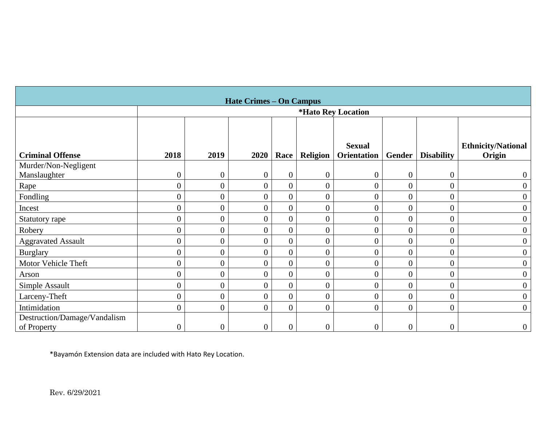| <b>Hate Crimes - On Campus</b>              |                  |                  |                  |                |                  |                                  |                |                   |                                     |
|---------------------------------------------|------------------|------------------|------------------|----------------|------------------|----------------------------------|----------------|-------------------|-------------------------------------|
|                                             |                  |                  |                  |                |                  | <i><b>*Hato Rev Location</b></i> |                |                   |                                     |
| <b>Criminal Offense</b>                     | 2018             | 2019             | 2020             | Race           | <b>Religion</b>  | <b>Sexual</b><br>Orientation     | Gender         | <b>Disability</b> | <b>Ethnicity/National</b><br>Origin |
| Murder/Non-Negligent                        |                  |                  |                  |                |                  |                                  |                |                   |                                     |
| Manslaughter                                | $\overline{0}$   | $\boldsymbol{0}$ | $\boldsymbol{0}$ | $\overline{0}$ | $\overline{0}$   | $\boldsymbol{0}$                 | $\overline{0}$ | $\overline{0}$    | $\boldsymbol{0}$                    |
| Rape                                        | $\overline{0}$   | $\overline{0}$   | $\boldsymbol{0}$ | $\overline{0}$ | $\overline{0}$   | $\overline{0}$                   | $\overline{0}$ | $\overline{0}$    | $\overline{0}$                      |
| Fondling                                    | $\overline{0}$   | $\boldsymbol{0}$ | $\boldsymbol{0}$ | $\overline{0}$ | $\overline{0}$   | $\overline{0}$                   | $\overline{0}$ | $\overline{0}$    | $\boldsymbol{0}$                    |
| Incest                                      | $\overline{0}$   | $\boldsymbol{0}$ | $\boldsymbol{0}$ | $\overline{0}$ | $\overline{0}$   | $\overline{0}$                   | $\overline{0}$ | $\overline{0}$    | $\overline{0}$                      |
| Statutory rape                              | $\overline{0}$   | $\overline{0}$   | $\boldsymbol{0}$ | $\overline{0}$ | $\overline{0}$   | $\overline{0}$                   | $\overline{0}$ | $\overline{0}$    | $\overline{0}$                      |
| Robery                                      | $\overline{0}$   | $\boldsymbol{0}$ | $\boldsymbol{0}$ | $\overline{0}$ | $\overline{0}$   | $\overline{0}$                   | $\overline{0}$ | $\overline{0}$    | $\boldsymbol{0}$                    |
| <b>Aggravated Assault</b>                   | $\overline{0}$   | $\boldsymbol{0}$ | $\boldsymbol{0}$ | $\overline{0}$ | $\boldsymbol{0}$ | $\boldsymbol{0}$                 | $\overline{0}$ | $\overline{0}$    | $\overline{0}$                      |
| <b>Burglary</b>                             | $\overline{0}$   | $\boldsymbol{0}$ | $\boldsymbol{0}$ | $\overline{0}$ | $\overline{0}$   | $\overline{0}$                   | $\overline{0}$ | $\overline{0}$    | $\overline{0}$                      |
| Motor Vehicle Theft                         | $\overline{0}$   | $\boldsymbol{0}$ | $\boldsymbol{0}$ | $\overline{0}$ | $\overline{0}$   | $\overline{0}$                   | $\overline{0}$ | $\overline{0}$    | $\boldsymbol{0}$                    |
| Arson                                       | $\overline{0}$   | $\overline{0}$   | $\overline{0}$   | $\overline{0}$ | $\overline{0}$   | $\overline{0}$                   | $\overline{0}$ | $\overline{0}$    | $\overline{0}$                      |
| Simple Assault                              | $\overline{0}$   | $\overline{0}$   | $\overline{0}$   | $\overline{0}$ | $\overline{0}$   | $\overline{0}$                   | $\overline{0}$ | $\overline{0}$    | $\overline{0}$                      |
| Larceny-Theft                               | $\overline{0}$   | $\boldsymbol{0}$ | $\boldsymbol{0}$ | $\overline{0}$ | $\overline{0}$   | $\overline{0}$                   | $\overline{0}$ | $\overline{0}$    | $\boldsymbol{0}$                    |
| Intimidation                                | $\Omega$         | $\boldsymbol{0}$ | $\boldsymbol{0}$ | $\overline{0}$ | $\overline{0}$   | $\boldsymbol{0}$                 | $\mathbf{0}$   | $\overline{0}$    | $\overline{0}$                      |
| Destruction/Damage/Vandalism<br>of Property | $\boldsymbol{0}$ | $\boldsymbol{0}$ | $\boldsymbol{0}$ | $\overline{0}$ | $\boldsymbol{0}$ | $\overline{0}$                   | $\overline{0}$ | $\overline{0}$    | $\boldsymbol{0}$                    |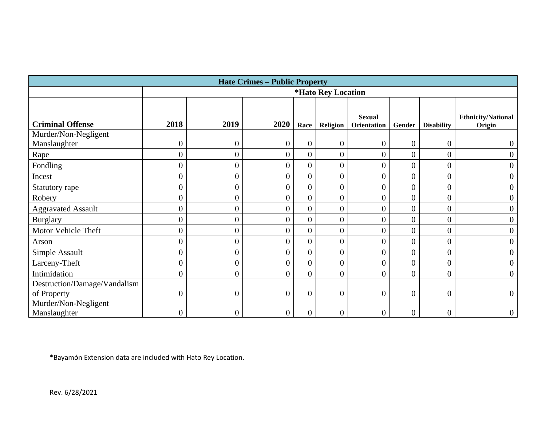| <b>Hate Crimes - Public Property</b> |                  |                                  |                  |                  |                  |                    |                  |                   |                           |
|--------------------------------------|------------------|----------------------------------|------------------|------------------|------------------|--------------------|------------------|-------------------|---------------------------|
|                                      |                  | <i><b>*Hato Rey Location</b></i> |                  |                  |                  |                    |                  |                   |                           |
|                                      |                  |                                  |                  |                  |                  |                    |                  |                   |                           |
|                                      |                  |                                  |                  |                  |                  | <b>Sexual</b>      |                  |                   | <b>Ethnicity/National</b> |
| <b>Criminal Offense</b>              | 2018             | 2019                             | 2020             | Race             | <b>Religion</b>  | <b>Orientation</b> | Gender           | <b>Disability</b> | Origin                    |
| Murder/Non-Negligent                 |                  |                                  |                  |                  |                  |                    |                  |                   |                           |
| Manslaughter                         | $\boldsymbol{0}$ | 0                                | $\overline{0}$   | $\boldsymbol{0}$ | $\overline{0}$   | $\boldsymbol{0}$   | $\overline{0}$   | $\boldsymbol{0}$  | $\boldsymbol{0}$          |
| Rape                                 | $\overline{0}$   | $\overline{0}$                   | $\overline{0}$   | $\overline{0}$   | $\boldsymbol{0}$ | $\boldsymbol{0}$   | $\overline{0}$   | $\boldsymbol{0}$  | $\overline{0}$            |
| Fondling                             | $\overline{0}$   | $\overline{0}$                   | $\overline{0}$   | $\overline{0}$   | $\overline{0}$   | $\overline{0}$     | $\overline{0}$   | $\boldsymbol{0}$  | $\boldsymbol{0}$          |
| Incest                               | 0                | $\overline{0}$                   | $\overline{0}$   | 0                | $\boldsymbol{0}$ | $\overline{0}$     | $\overline{0}$   | $\overline{0}$    | 0                         |
| Statutory rape                       | $\overline{0}$   | $\overline{0}$                   | $\overline{0}$   | $\overline{0}$   | $\overline{0}$   | $\boldsymbol{0}$   | $\overline{0}$   | $\boldsymbol{0}$  | $\overline{0}$            |
| Robery                               | $\overline{0}$   | $\overline{0}$                   | $\overline{0}$   | $\overline{0}$   | $\overline{0}$   | $\boldsymbol{0}$   | $\overline{0}$   | $\overline{0}$    | $\boldsymbol{0}$          |
| <b>Aggravated Assault</b>            | $\overline{0}$   | 0                                | $\overline{0}$   | 0                | $\boldsymbol{0}$ | $\boldsymbol{0}$   | $\overline{0}$   | $\boldsymbol{0}$  | $\boldsymbol{0}$          |
| <b>Burglary</b>                      | $\overline{0}$   | $\overline{0}$                   | $\overline{0}$   | $\boldsymbol{0}$ | $\overline{0}$   | $\boldsymbol{0}$   | $\overline{0}$   | $\boldsymbol{0}$  | $\overline{0}$            |
| Motor Vehicle Theft                  | $\overline{0}$   | $\overline{0}$                   | $\overline{0}$   | $\overline{0}$   | $\overline{0}$   | $\overline{0}$     | $\overline{0}$   | $\boldsymbol{0}$  | $\boldsymbol{0}$          |
| Arson                                | 0                | 0                                | $\boldsymbol{0}$ | 0                | $\boldsymbol{0}$ | $\boldsymbol{0}$   | $\overline{0}$   | $\boldsymbol{0}$  | $\boldsymbol{0}$          |
| Simple Assault                       | $\overline{0}$   | $\overline{0}$                   | $\overline{0}$   | $\boldsymbol{0}$ | $\overline{0}$   | $\boldsymbol{0}$   | $\overline{0}$   | $\boldsymbol{0}$  | $\overline{0}$            |
| Larceny-Theft                        | $\overline{0}$   | $\overline{0}$                   | $\overline{0}$   | $\overline{0}$   | $\overline{0}$   | $\overline{0}$     | $\overline{0}$   | $\overline{0}$    | $\boldsymbol{0}$          |
| Intimidation                         | $\overline{0}$   | $\overline{0}$                   | $\overline{0}$   | $\overline{0}$   | $\overline{0}$   | $\boldsymbol{0}$   | $\overline{0}$   | $\boldsymbol{0}$  | $\boldsymbol{0}$          |
| Destruction/Damage/Vandalism         |                  |                                  |                  |                  |                  |                    |                  |                   |                           |
| of Property                          | $\boldsymbol{0}$ | 0                                | $\overline{0}$   | $\overline{0}$   | $\boldsymbol{0}$ | $\boldsymbol{0}$   | $\boldsymbol{0}$ | $\boldsymbol{0}$  | $\boldsymbol{0}$          |
| Murder/Non-Negligent                 |                  |                                  |                  |                  |                  |                    |                  |                   |                           |
| Manslaughter                         |                  | 0                                | $\boldsymbol{0}$ | 0                | $\overline{0}$   | $\boldsymbol{0}$   | 0                | 0                 | $\boldsymbol{0}$          |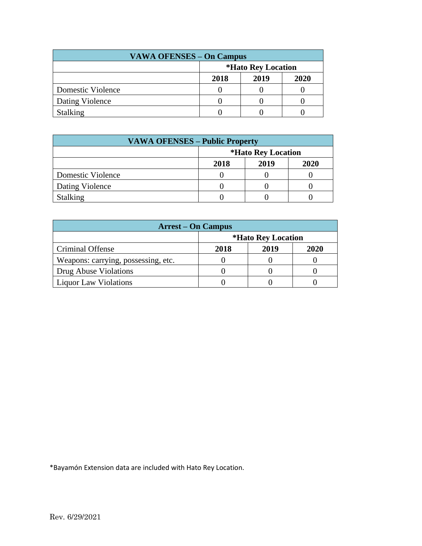| <b>VAWA OFENSES - On Campus</b> |                                  |  |  |  |  |  |
|---------------------------------|----------------------------------|--|--|--|--|--|
|                                 | <i><b>*Hato Rey Location</b></i> |  |  |  |  |  |
|                                 | 2020<br>2018<br>2019             |  |  |  |  |  |
| Domestic Violence               |                                  |  |  |  |  |  |
| Dating Violence                 |                                  |  |  |  |  |  |
| <b>Stalking</b>                 |                                  |  |  |  |  |  |

| <b>VAWA OFENSES – Public Property</b> |                                  |  |  |  |  |  |  |
|---------------------------------------|----------------------------------|--|--|--|--|--|--|
|                                       | <i><b>*Hato Rey Location</b></i> |  |  |  |  |  |  |
|                                       | 2019<br>2020<br>2018             |  |  |  |  |  |  |
| Domestic Violence                     |                                  |  |  |  |  |  |  |
| Dating Violence                       |                                  |  |  |  |  |  |  |
| <b>Stalking</b>                       |                                  |  |  |  |  |  |  |

| <b>Arrest – On Campus</b>           |                                  |  |  |  |  |  |
|-------------------------------------|----------------------------------|--|--|--|--|--|
|                                     | <i><b>*Hato Rey Location</b></i> |  |  |  |  |  |
| <b>Criminal Offense</b>             | 2019<br>2020<br>2018             |  |  |  |  |  |
| Weapons: carrying, possessing, etc. |                                  |  |  |  |  |  |
| Drug Abuse Violations               |                                  |  |  |  |  |  |
| <b>Liquor Law Violations</b>        |                                  |  |  |  |  |  |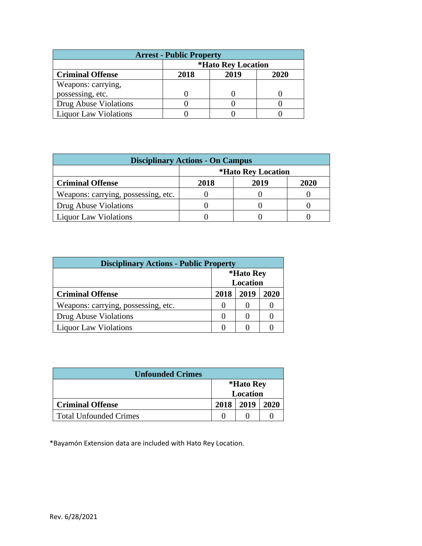| <b>Arrest - Public Property</b> |                                  |  |  |  |  |  |  |
|---------------------------------|----------------------------------|--|--|--|--|--|--|
|                                 | <i><b>*Hato Rey Location</b></i> |  |  |  |  |  |  |
| <b>Criminal Offense</b>         | 2019<br>2020<br>2018             |  |  |  |  |  |  |
| Weapons: carrying,              |                                  |  |  |  |  |  |  |
| possessing, etc.                |                                  |  |  |  |  |  |  |
| Drug Abuse Violations           |                                  |  |  |  |  |  |  |
| <b>Liquor Law Violations</b>    |                                  |  |  |  |  |  |  |

| <b>Disciplinary Actions - On Campus</b> |                                  |  |  |  |  |  |  |
|-----------------------------------------|----------------------------------|--|--|--|--|--|--|
|                                         | <i><b>*Hato Rey Location</b></i> |  |  |  |  |  |  |
| <b>Criminal Offense</b>                 | <b>2020</b><br>2019<br>2018      |  |  |  |  |  |  |
| Weapons: carrying, possessing, etc.     |                                  |  |  |  |  |  |  |
| Drug Abuse Violations                   |                                  |  |  |  |  |  |  |
| <b>Liquor Law Violations</b>            |                                  |  |  |  |  |  |  |

| <b>Disciplinary Actions - Public Property</b> |                              |      |      |  |  |  |
|-----------------------------------------------|------------------------------|------|------|--|--|--|
|                                               | *Hato Rey<br><b>Location</b> |      |      |  |  |  |
| <b>Criminal Offense</b>                       | 2018                         | 2019 | 2020 |  |  |  |
| Weapons: carrying, possessing, etc.           |                              |      |      |  |  |  |
| Drug Abuse Violations                         |                              |      |      |  |  |  |
| <b>Liquor Law Violations</b>                  |                              |      |      |  |  |  |

| <b>Unfounded Crimes</b>       |                       |      |      |  |  |
|-------------------------------|-----------------------|------|------|--|--|
|                               | *Hato Rey<br>Location |      |      |  |  |
| <b>Criminal Offense</b>       | 2018                  | 2019 | 2020 |  |  |
| <b>Total Unfounded Crimes</b> |                       |      |      |  |  |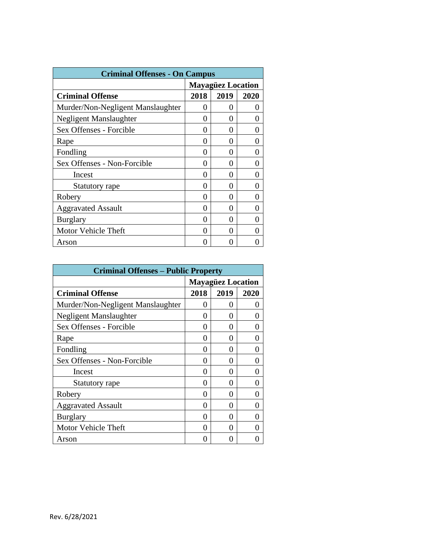| <b>Criminal Offenses - On Campus</b> |                          |                   |   |  |  |  |
|--------------------------------------|--------------------------|-------------------|---|--|--|--|
|                                      | <b>Mayagüez Location</b> |                   |   |  |  |  |
| <b>Criminal Offense</b>              | 2018<br>2019<br>2020     |                   |   |  |  |  |
| Murder/Non-Negligent Manslaughter    | 0                        | 0                 |   |  |  |  |
| Negligent Manslaughter               | 0                        | 0                 |   |  |  |  |
| Sex Offenses - Forcible              | $\mathbf{\Omega}$        | 0                 |   |  |  |  |
| Rape                                 | 0                        | 0                 |   |  |  |  |
| Fondling                             | 0                        | 0                 |   |  |  |  |
| Sex Offenses - Non-Forcible          | 0                        | 0                 | O |  |  |  |
| Incest                               | 0                        | $\mathbf{\Omega}$ |   |  |  |  |
| Statutory rape                       | 0                        | 0                 |   |  |  |  |
| Robery                               | 0                        | 0                 | 0 |  |  |  |
| <b>Aggravated Assault</b>            | 0                        | $\mathbf{\Omega}$ |   |  |  |  |
| <b>Burglary</b>                      | 0                        | 0                 |   |  |  |  |
| Motor Vehicle Theft                  | 0                        | 0                 |   |  |  |  |
| Arson                                |                          |                   |   |  |  |  |

| <b>Criminal Offenses – Public Property</b> |                          |                   |      |  |  |
|--------------------------------------------|--------------------------|-------------------|------|--|--|
|                                            | <b>Mayagüez Location</b> |                   |      |  |  |
| <b>Criminal Offense</b>                    | 2018                     | 2019              | 2020 |  |  |
| Murder/Non-Negligent Manslaughter          | 0                        | $\mathbf{\Omega}$ |      |  |  |
| <b>Negligent Manslaughter</b>              | 0                        | $_{0}$            |      |  |  |
| Sex Offenses - Forcible                    | 0                        | 0                 |      |  |  |
| Rape                                       | 0                        | 0                 |      |  |  |
| Fondling                                   | 0                        | $\mathbf{\Omega}$ |      |  |  |
| Sex Offenses - Non-Forcible                | 0                        | 0                 |      |  |  |
| Incest                                     | 0                        | ∩                 |      |  |  |
| Statutory rape                             | 0                        | $\mathbf{\Omega}$ |      |  |  |
| Robery                                     | 0                        | 0                 |      |  |  |
| <b>Aggravated Assault</b>                  | 0                        | 0                 |      |  |  |
| <b>Burglary</b>                            | 0                        | 0                 |      |  |  |
| <b>Motor Vehicle Theft</b>                 | 0                        | 0                 |      |  |  |
| Arson                                      | 0                        | 0                 |      |  |  |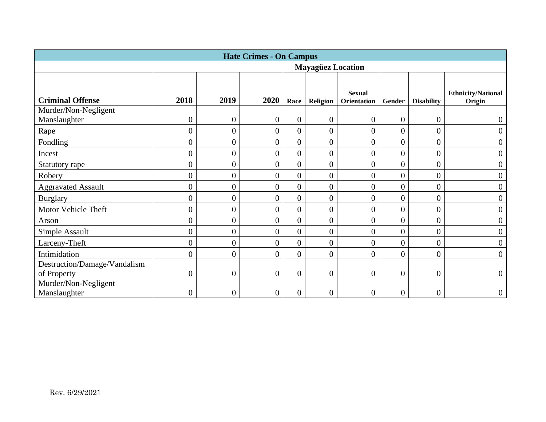| <b>Hate Crimes - On Campus</b> |                  |                          |                  |                  |                  |                  |                  |                   |                           |
|--------------------------------|------------------|--------------------------|------------------|------------------|------------------|------------------|------------------|-------------------|---------------------------|
|                                |                  | <b>Mayagüez Location</b> |                  |                  |                  |                  |                  |                   |                           |
|                                |                  |                          |                  |                  |                  |                  |                  |                   |                           |
|                                |                  |                          |                  |                  |                  | <b>Sexual</b>    |                  |                   | <b>Ethnicity/National</b> |
| <b>Criminal Offense</b>        | 2018             | 2019                     | 2020             | Race             | <b>Religion</b>  | Orientation      | <b>Gender</b>    | <b>Disability</b> | Origin                    |
| Murder/Non-Negligent           |                  |                          |                  |                  |                  |                  |                  |                   |                           |
| Manslaughter                   | $\overline{0}$   | $\overline{0}$           | $\boldsymbol{0}$ | $\boldsymbol{0}$ | $\overline{0}$   | $\overline{0}$   | $\boldsymbol{0}$ | $\boldsymbol{0}$  | $\boldsymbol{0}$          |
| Rape                           | $\overline{0}$   | $\overline{0}$           | $\boldsymbol{0}$ | $\overline{0}$   | $\boldsymbol{0}$ | $\overline{0}$   | $\overline{0}$   | $\overline{0}$    | $\overline{0}$            |
| Fondling                       | $\boldsymbol{0}$ | $\overline{0}$           | $\boldsymbol{0}$ | $\overline{0}$   | $\boldsymbol{0}$ | $\overline{0}$   | $\boldsymbol{0}$ | $\overline{0}$    | $\boldsymbol{0}$          |
| Incest                         | $\boldsymbol{0}$ | $\overline{0}$           | $\boldsymbol{0}$ | $\overline{0}$   | $\overline{0}$   | 0                | $\overline{0}$   | $\boldsymbol{0}$  | $\boldsymbol{0}$          |
| Statutory rape                 | $\boldsymbol{0}$ | $\overline{0}$           | $\boldsymbol{0}$ | $\overline{0}$   | $\overline{0}$   | $\overline{0}$   | $\boldsymbol{0}$ | $\boldsymbol{0}$  | $\boldsymbol{0}$          |
| Robery                         | $\boldsymbol{0}$ | $\overline{0}$           | $\boldsymbol{0}$ | $\overline{0}$   | $\boldsymbol{0}$ | $\overline{0}$   | $\overline{0}$   | $\boldsymbol{0}$  | $\boldsymbol{0}$          |
| <b>Aggravated Assault</b>      | $\boldsymbol{0}$ | $\overline{0}$           | $\boldsymbol{0}$ | $\boldsymbol{0}$ | $\boldsymbol{0}$ | $\overline{0}$   | $\boldsymbol{0}$ | $\boldsymbol{0}$  | $\overline{0}$            |
| <b>Burglary</b>                | $\boldsymbol{0}$ | $\overline{0}$           | $\boldsymbol{0}$ | $\overline{0}$   | 0                | $\overline{0}$   | $\boldsymbol{0}$ | $\boldsymbol{0}$  | $\overline{0}$            |
| Motor Vehicle Theft            | $\overline{0}$   | $\overline{0}$           | $\overline{0}$   | $\boldsymbol{0}$ | $\overline{0}$   | $\overline{0}$   | $\overline{0}$   | $\overline{0}$    | $\overline{0}$            |
| Arson                          | $\boldsymbol{0}$ | $\overline{0}$           | $\overline{0}$   | $\boldsymbol{0}$ | $\overline{0}$   | 0                | $\boldsymbol{0}$ | $\boldsymbol{0}$  | $\boldsymbol{0}$          |
| Simple Assault                 | $\boldsymbol{0}$ | $\overline{0}$           | $\boldsymbol{0}$ | $\overline{0}$   | $\overline{0}$   | $\overline{0}$   | $\overline{0}$   | $\boldsymbol{0}$  | $\overline{0}$            |
| Larceny-Theft                  | $\overline{0}$   | $\overline{0}$           | $\overline{0}$   | $\overline{0}$   | $\overline{0}$   | $\overline{0}$   | $\overline{0}$   | $\overline{0}$    | $\overline{0}$            |
| Intimidation                   | $\overline{0}$   | $\overline{0}$           | $\boldsymbol{0}$ | $\overline{0}$   | $\overline{0}$   | $\overline{0}$   | $\overline{0}$   | $\boldsymbol{0}$  | $\boldsymbol{0}$          |
| Destruction/Damage/Vandalism   |                  |                          |                  |                  |                  |                  |                  |                   |                           |
| of Property                    | $\boldsymbol{0}$ | $\boldsymbol{0}$         | $\boldsymbol{0}$ | $\boldsymbol{0}$ | $\boldsymbol{0}$ | $\boldsymbol{0}$ | $\boldsymbol{0}$ | $\boldsymbol{0}$  | $\boldsymbol{0}$          |
| Murder/Non-Negligent           |                  |                          |                  |                  |                  |                  |                  |                   |                           |
| Manslaughter                   | 0                | 0                        | 0                | $\overline{0}$   | 0                | 0                | $\overline{0}$   | $\overline{0}$    | $\boldsymbol{0}$          |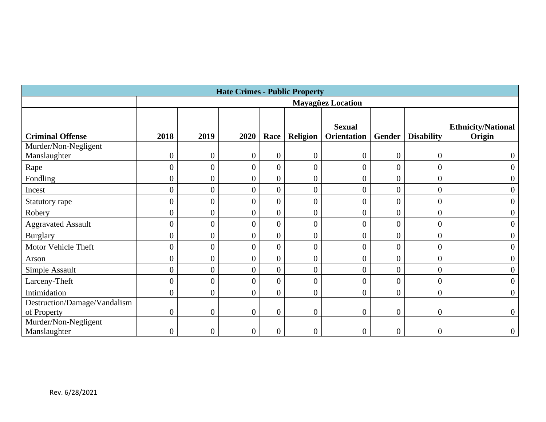| <b>Hate Crimes - Public Property</b> |                  |                  |                  |                  |                  |                          |                  |                   |                           |
|--------------------------------------|------------------|------------------|------------------|------------------|------------------|--------------------------|------------------|-------------------|---------------------------|
|                                      |                  |                  |                  |                  |                  | <b>Mayagüez Location</b> |                  |                   |                           |
|                                      |                  |                  |                  |                  |                  |                          |                  |                   |                           |
|                                      |                  |                  |                  |                  |                  | <b>Sexual</b>            |                  |                   | <b>Ethnicity/National</b> |
| <b>Criminal Offense</b>              | 2018             | 2019             | 2020             | Race             | Religion         | <b>Orientation</b>       | Gender           | <b>Disability</b> | Origin                    |
| Murder/Non-Negligent                 |                  |                  |                  |                  |                  |                          |                  |                   |                           |
| Manslaughter                         | $\boldsymbol{0}$ | $\overline{0}$   | $\overline{0}$   | $\boldsymbol{0}$ | $\boldsymbol{0}$ | $\overline{0}$           | $\boldsymbol{0}$ | $\overline{0}$    |                           |
| Rape                                 | $\boldsymbol{0}$ | $\overline{0}$   | $\overline{0}$   | $\overline{0}$   | $\boldsymbol{0}$ | $\overline{0}$           | $\overline{0}$   | $\overline{0}$    | $\boldsymbol{0}$          |
| Fondling                             | $\overline{0}$   | $\overline{0}$   | $\overline{0}$   | $\overline{0}$   | $\overline{0}$   | $\overline{0}$           | $\overline{0}$   | $\overline{0}$    | $\overline{0}$            |
| Incest                               | $\boldsymbol{0}$ | $\overline{0}$   | $\overline{0}$   | $\boldsymbol{0}$ | $\boldsymbol{0}$ | $\overline{0}$           | $\boldsymbol{0}$ | $\overline{0}$    | $\boldsymbol{0}$          |
| Statutory rape                       | $\boldsymbol{0}$ | $\overline{0}$   | $\overline{0}$   | $\overline{0}$   | $\overline{0}$   | $\overline{0}$           | $\overline{0}$   | $\overline{0}$    | $\overline{0}$            |
| Robery                               | $\overline{0}$   | $\overline{0}$   | $\overline{0}$   | $\overline{0}$   | $\overline{0}$   | $\overline{0}$           | $\overline{0}$   | $\overline{0}$    | $\boldsymbol{0}$          |
| <b>Aggravated Assault</b>            | $\overline{0}$   | $\overline{0}$   | $\overline{0}$   | $\boldsymbol{0}$ | $\overline{0}$   | $\overline{0}$           | $\overline{0}$   | $\overline{0}$    | $\overline{0}$            |
| <b>Burglary</b>                      | $\boldsymbol{0}$ | $\overline{0}$   | $\overline{0}$   | $\overline{0}$   | $\boldsymbol{0}$ | $\overline{0}$           | $\overline{0}$   | $\overline{0}$    | $\overline{0}$            |
| Motor Vehicle Theft                  | $\boldsymbol{0}$ | $\overline{0}$   | $\overline{0}$   | $\overline{0}$   | $\boldsymbol{0}$ | $\overline{0}$           | $\overline{0}$   | $\overline{0}$    | $\boldsymbol{0}$          |
| Arson                                | $\boldsymbol{0}$ | $\overline{0}$   | $\overline{0}$   | $\overline{0}$   | $\overline{0}$   | $\overline{0}$           | $\overline{0}$   | $\overline{0}$    | $\boldsymbol{0}$          |
| Simple Assault                       | $\boldsymbol{0}$ | $\boldsymbol{0}$ | $\overline{0}$   | $\overline{0}$   | $\boldsymbol{0}$ | $\overline{0}$           | $\boldsymbol{0}$ | 0                 | $\boldsymbol{0}$          |
| Larceny-Theft                        | $\boldsymbol{0}$ | $\overline{0}$   | $\overline{0}$   | $\overline{0}$   | $\overline{0}$   | $\overline{0}$           | $\overline{0}$   | $\overline{0}$    | $\boldsymbol{0}$          |
| Intimidation                         | $\boldsymbol{0}$ | $\overline{0}$   | $\overline{0}$   | $\overline{0}$   | $\boldsymbol{0}$ | $\overline{0}$           | $\boldsymbol{0}$ | $\boldsymbol{0}$  | $\boldsymbol{0}$          |
| Destruction/Damage/Vandalism         |                  |                  |                  |                  |                  |                          |                  |                   |                           |
| of Property                          | $\boldsymbol{0}$ | $\overline{0}$   | $\boldsymbol{0}$ | $\boldsymbol{0}$ | $\overline{0}$   | $\overline{0}$           | $\overline{0}$   | $\overline{0}$    | $\overline{0}$            |
| Murder/Non-Negligent                 |                  |                  |                  |                  |                  |                          |                  |                   |                           |
| Manslaughter                         | $\boldsymbol{0}$ | $\overline{0}$   | $\boldsymbol{0}$ | $\boldsymbol{0}$ | $\boldsymbol{0}$ | $\overline{0}$           | $\boldsymbol{0}$ | $\overline{0}$    | $\boldsymbol{0}$          |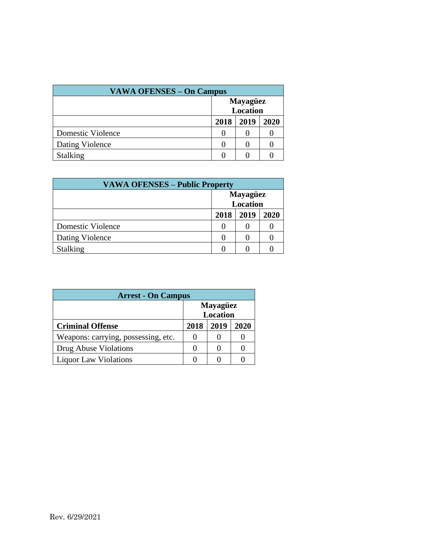| <b>VAWA OFENSES – On Campus</b> |                             |      |      |  |  |
|---------------------------------|-----------------------------|------|------|--|--|
|                                 | <b>Mayagüez</b><br>Location |      |      |  |  |
|                                 | 2018                        | 2019 | 2020 |  |  |
| Domestic Violence               |                             |      |      |  |  |
| Dating Violence                 |                             |      |      |  |  |
| <b>Stalking</b>                 |                             |      |      |  |  |

| <b>VAWA OFENSES – Public Property</b> |      |                                    |      |  |  |
|---------------------------------------|------|------------------------------------|------|--|--|
|                                       |      | <b>Mayagüez</b><br><b>Location</b> |      |  |  |
|                                       | 2018 | 2019                               | 2020 |  |  |
| Domestic Violence                     |      |                                    |      |  |  |
| Dating Violence                       |      |                                    |      |  |  |
| <b>Stalking</b>                       |      |                                    |      |  |  |

| <b>Arrest - On Campus</b>           |                                    |      |      |  |  |  |
|-------------------------------------|------------------------------------|------|------|--|--|--|
|                                     | <b>Mayagüez</b><br><b>Location</b> |      |      |  |  |  |
| <b>Criminal Offense</b>             | 2018                               | 2019 | 2020 |  |  |  |
| Weapons: carrying, possessing, etc. |                                    |      |      |  |  |  |
| Drug Abuse Violations               |                                    |      |      |  |  |  |
| <b>Liquor Law Violations</b>        |                                    |      |      |  |  |  |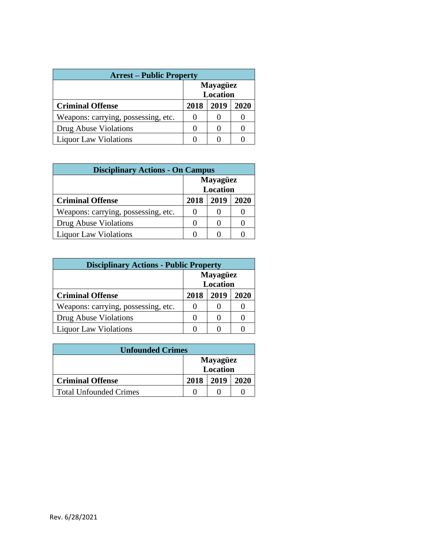| <b>Arrest – Public Property</b>     |                                    |      |      |  |  |  |
|-------------------------------------|------------------------------------|------|------|--|--|--|
|                                     | <b>Mayagüez</b><br><b>Location</b> |      |      |  |  |  |
| <b>Criminal Offense</b>             | 2018                               | 2019 | 2020 |  |  |  |
| Weapons: carrying, possessing, etc. |                                    | 0    |      |  |  |  |
| Drug Abuse Violations               |                                    |      |      |  |  |  |
| <b>Liquor Law Violations</b>        |                                    |      |      |  |  |  |

| <b>Disciplinary Actions - On Campus</b> |                                    |      |      |  |  |  |
|-----------------------------------------|------------------------------------|------|------|--|--|--|
|                                         | <b>Mayagüez</b><br><b>Location</b> |      |      |  |  |  |
| <b>Criminal Offense</b>                 | 2018                               | 2019 | 2020 |  |  |  |
| Weapons: carrying, possessing, etc.     | 0                                  |      |      |  |  |  |
| Drug Abuse Violations                   |                                    |      |      |  |  |  |
| <b>Liquor Law Violations</b>            |                                    |      |      |  |  |  |

| <b>Disciplinary Actions - Public Property</b> |                                    |      |      |  |  |  |
|-----------------------------------------------|------------------------------------|------|------|--|--|--|
|                                               | <b>Mayagüez</b><br><b>Location</b> |      |      |  |  |  |
| <b>Criminal Offense</b>                       | 2018                               | 2019 | 2020 |  |  |  |
| Weapons: carrying, possessing, etc.           |                                    |      |      |  |  |  |
| Drug Abuse Violations                         | 0                                  |      |      |  |  |  |
| <b>Liquor Law Violations</b>                  |                                    |      |      |  |  |  |

| <b>Unfounded Crimes</b>       |      |                             |      |  |  |
|-------------------------------|------|-----------------------------|------|--|--|
|                               |      | <b>Mayagüez</b><br>Location |      |  |  |
| <b>Criminal Offense</b>       | 2018 | 2019                        | 2020 |  |  |
| <b>Total Unfounded Crimes</b> |      |                             |      |  |  |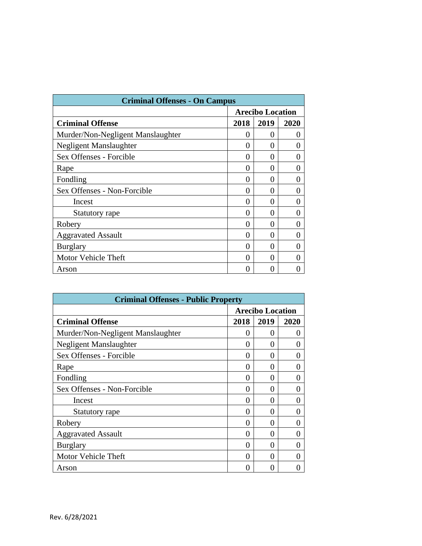| <b>Criminal Offenses - On Campus</b> |                         |              |                   |  |  |
|--------------------------------------|-------------------------|--------------|-------------------|--|--|
|                                      | <b>Arecibo Location</b> |              |                   |  |  |
| <b>Criminal Offense</b>              | 2018                    | 2019         | 2020              |  |  |
| Murder/Non-Negligent Manslaughter    | 0                       | $\mathbf{0}$ | $\theta$          |  |  |
| Negligent Manslaughter               | 0                       | 0            | 0                 |  |  |
| Sex Offenses - Forcible              | 0                       | 0            | 0                 |  |  |
| Rape                                 | 0                       | 0            | $\mathbf{\Omega}$ |  |  |
| Fondling                             | 0                       | 0            | $\mathbf{\Omega}$ |  |  |
| Sex Offenses - Non-Forcible          | 0                       | 0            | 0                 |  |  |
| Incest                               | 0                       | ∩            |                   |  |  |
| Statutory rape                       | 0                       | 0            | $\mathbf{\Omega}$ |  |  |
| Robery                               | 0                       | 0            | 0                 |  |  |
| <b>Aggravated Assault</b>            | 0                       | 0            | 0                 |  |  |
| <b>Burglary</b>                      | 0                       | 0            | $\mathbf{\Omega}$ |  |  |
| Motor Vehicle Theft                  | 0                       | 0            | $\mathbf{\Omega}$ |  |  |
| Arson                                | 0                       | 0            |                   |  |  |

| <b>Criminal Offenses - Public Property</b> |                         |                   |      |  |  |  |
|--------------------------------------------|-------------------------|-------------------|------|--|--|--|
|                                            | <b>Arecibo Location</b> |                   |      |  |  |  |
| <b>Criminal Offense</b>                    | 2018                    | 2019              | 2020 |  |  |  |
| Murder/Non-Negligent Manslaughter          | 0                       | 0                 |      |  |  |  |
| Negligent Manslaughter                     | 0                       | 0                 |      |  |  |  |
| Sex Offenses - Forcible                    | 0                       | 0                 |      |  |  |  |
| Rape                                       | 0                       | 0                 |      |  |  |  |
| Fondling                                   | 0                       | $\mathbf{\Omega}$ |      |  |  |  |
| Sex Offenses - Non-Forcible                | 0                       | 0                 |      |  |  |  |
| Incest                                     | 0                       | 0                 |      |  |  |  |
| Statutory rape                             | 0                       | 0                 |      |  |  |  |
| Robery                                     | 0                       | 0                 |      |  |  |  |
| <b>Aggravated Assault</b>                  | 0                       | 0                 |      |  |  |  |
| <b>Burglary</b>                            | 0                       | 0                 |      |  |  |  |
| Motor Vehicle Theft                        | 0                       | 0                 |      |  |  |  |
| Arson                                      | 0                       |                   |      |  |  |  |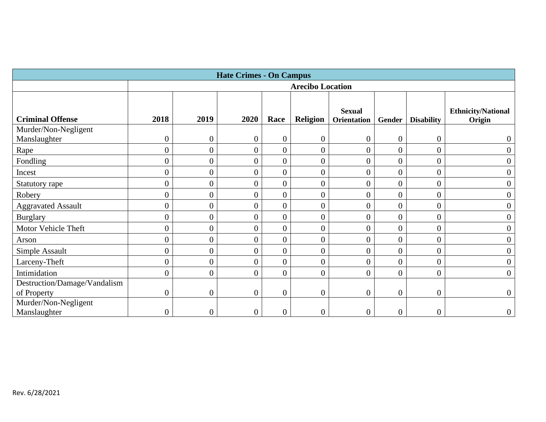| <b>Hate Crimes - On Campus</b>       |                  |                |                  |                  |                         |                                     |                  |                   |                                     |
|--------------------------------------|------------------|----------------|------------------|------------------|-------------------------|-------------------------------------|------------------|-------------------|-------------------------------------|
|                                      |                  |                |                  |                  | <b>Arecibo Location</b> |                                     |                  |                   |                                     |
| <b>Criminal Offense</b>              | 2018             | 2019           | 2020             | Race             | Religion                | <b>Sexual</b><br><b>Orientation</b> | Gender           | <b>Disability</b> | <b>Ethnicity/National</b><br>Origin |
| Murder/Non-Negligent<br>Manslaughter | $\boldsymbol{0}$ | $\overline{0}$ | $\boldsymbol{0}$ | $\boldsymbol{0}$ | $\boldsymbol{0}$        | $\theta$                            | $\boldsymbol{0}$ | 0                 |                                     |
| Rape                                 | $\overline{0}$   | $\overline{0}$ | $\boldsymbol{0}$ | $\boldsymbol{0}$ | $\overline{0}$          | $\overline{0}$                      | $\overline{0}$   | $\overline{0}$    | $\theta$                            |
| Fondling                             | $\overline{0}$   | $\overline{0}$ | $\overline{0}$   | $\boldsymbol{0}$ | $\overline{0}$          | 0                                   | $\overline{0}$   | 0                 | 0                                   |
| Incest                               | $\overline{0}$   | $\overline{0}$ | $\boldsymbol{0}$ | $\boldsymbol{0}$ | $\overline{0}$          |                                     | $\boldsymbol{0}$ | 0                 |                                     |
| Statutory rape                       | $\overline{0}$   | $\overline{0}$ | $\boldsymbol{0}$ | $\boldsymbol{0}$ | $\boldsymbol{0}$        |                                     | $\overline{0}$   | $\overline{0}$    | $\overline{0}$                      |
| Robery                               | $\overline{0}$   | $\overline{0}$ | $\boldsymbol{0}$ | $\boldsymbol{0}$ | $\overline{0}$          | 0                                   | $\boldsymbol{0}$ | $\overline{0}$    | $\overline{0}$                      |
| <b>Aggravated Assault</b>            | $\boldsymbol{0}$ | $\overline{0}$ | $\overline{0}$   | $\boldsymbol{0}$ | $\overline{0}$          |                                     | $\overline{0}$   | 0                 |                                     |
| <b>Burglary</b>                      | $\overline{0}$   | $\overline{0}$ | $\boldsymbol{0}$ | $\boldsymbol{0}$ | $\boldsymbol{0}$        |                                     | $\boldsymbol{0}$ | 0                 | $\overline{0}$                      |
| Motor Vehicle Theft                  | $\overline{0}$   | $\overline{0}$ | $\overline{0}$   | $\boldsymbol{0}$ | $\overline{0}$          | 0                                   | $\overline{0}$   | $\overline{0}$    | $\overline{0}$                      |
| Arson                                | $\boldsymbol{0}$ | $\overline{0}$ | $\overline{0}$   | $\boldsymbol{0}$ | $\overline{0}$          |                                     | 0                | 0                 |                                     |
| Simple Assault                       | $\overline{0}$   | $\overline{0}$ | $\overline{0}$   | $\boldsymbol{0}$ | $\boldsymbol{0}$        |                                     | $\overline{0}$   | $\overline{0}$    | $\overline{0}$                      |
| Larceny-Theft                        | $\overline{0}$   | $\overline{0}$ | $\boldsymbol{0}$ | $\overline{0}$   | $\overline{0}$          | 0                                   | $\overline{0}$   | 0                 | $\boldsymbol{0}$                    |
| Intimidation                         | $\overline{0}$   | $\overline{0}$ | $\overline{0}$   | $\overline{0}$   | $\overline{0}$          |                                     | $\boldsymbol{0}$ | 0                 | $\theta$                            |
| Destruction/Damage/Vandalism         |                  |                |                  |                  |                         |                                     |                  |                   |                                     |
| of Property                          | $\overline{0}$   | $\overline{0}$ | $\boldsymbol{0}$ | $\boldsymbol{0}$ | $\boldsymbol{0}$        | $\overline{0}$                      | $\overline{0}$   | $\boldsymbol{0}$  | $\mathbf{0}$                        |
| Murder/Non-Negligent<br>Manslaughter |                  | $\overline{0}$ | 0                | $\boldsymbol{0}$ | $\boldsymbol{0}$        |                                     | $\boldsymbol{0}$ |                   | $\overline{0}$                      |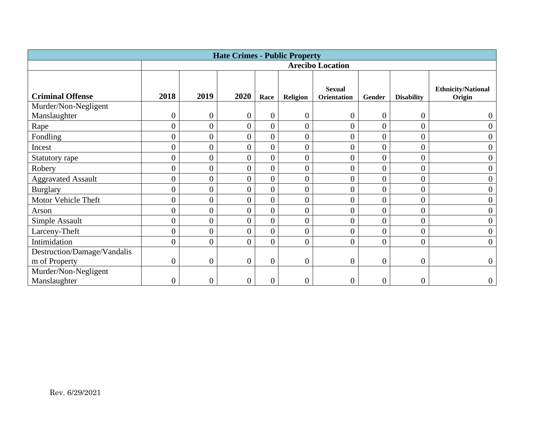| <b>Hate Crimes - Public Property</b> |                |                  |                  |                  |                  |                              |                  |                   |                                     |
|--------------------------------------|----------------|------------------|------------------|------------------|------------------|------------------------------|------------------|-------------------|-------------------------------------|
|                                      |                |                  |                  |                  |                  | <b>Arecibo Location</b>      |                  |                   |                                     |
| <b>Criminal Offense</b>              | 2018           | 2019             | 2020             | Race             | <b>Religion</b>  | <b>Sexual</b><br>Orientation | Gender           | <b>Disability</b> | <b>Ethnicity/National</b><br>Origin |
| Murder/Non-Negligent<br>Manslaughter | $\overline{0}$ | $\boldsymbol{0}$ | $\boldsymbol{0}$ | $\boldsymbol{0}$ | $\boldsymbol{0}$ | $\overline{0}$               | $\boldsymbol{0}$ | $\overline{0}$    | $\boldsymbol{0}$                    |
| Rape                                 | $\overline{0}$ | $\overline{0}$   | $\overline{0}$   | $\overline{0}$   | $\overline{0}$   | $\overline{0}$               | $\overline{0}$   | $\overline{0}$    | $\boldsymbol{0}$                    |
| Fondling                             | $\overline{0}$ | $\overline{0}$   | $\overline{0}$   | $\overline{0}$   | $\boldsymbol{0}$ | $\overline{0}$               | $\overline{0}$   | 0                 | $\boldsymbol{0}$                    |
| Incest                               | $\overline{0}$ | $\overline{0}$   | $\overline{0}$   | $\overline{0}$   | $\overline{0}$   | $\overline{0}$               | $\overline{0}$   | $\overline{0}$    | $\boldsymbol{0}$                    |
| Statutory rape                       | $\overline{0}$ | $\overline{0}$   | $\overline{0}$   | $\overline{0}$   | $\overline{0}$   | $\overline{0}$               | $\overline{0}$   | $\overline{0}$    | $\boldsymbol{0}$                    |
| Robery                               | $\overline{0}$ | $\overline{0}$   | $\overline{0}$   | $\overline{0}$   | $\boldsymbol{0}$ | $\overline{0}$               | $\overline{0}$   | 0                 | $\boldsymbol{0}$                    |
| <b>Aggravated Assault</b>            | $\overline{0}$ | $\overline{0}$   | $\overline{0}$   | $\overline{0}$   | $\boldsymbol{0}$ | $\overline{0}$               | $\overline{0}$   | $\overline{0}$    | $\boldsymbol{0}$                    |
| <b>Burglary</b>                      | $\overline{0}$ | $\overline{0}$   | $\overline{0}$   | $\overline{0}$   | $\overline{0}$   | $\overline{0}$               | $\overline{0}$   | $\overline{0}$    | $\boldsymbol{0}$                    |
| Motor Vehicle Theft                  | $\overline{0}$ | $\overline{0}$   | $\overline{0}$   | $\overline{0}$   | $\overline{0}$   | $\overline{0}$               | $\overline{0}$   | $\overline{0}$    | $\overline{0}$                      |
| Arson                                | $\overline{0}$ | $\overline{0}$   | $\overline{0}$   | $\overline{0}$   | $\overline{0}$   | $\overline{0}$               | $\overline{0}$   | $\overline{0}$    | $\overline{0}$                      |
| Simple Assault                       | $\overline{0}$ | $\overline{0}$   | $\overline{0}$   | $\overline{0}$   | $\overline{0}$   | $\overline{0}$               | $\overline{0}$   | $\overline{0}$    | $\boldsymbol{0}$                    |
| Larceny-Theft                        | $\overline{0}$ | $\overline{0}$   | $\overline{0}$   | $\overline{0}$   | $\overline{0}$   | $\overline{0}$               | $\overline{0}$   | $\overline{0}$    | $\boldsymbol{0}$                    |
| Intimidation                         | $\overline{0}$ | $\overline{0}$   | $\overline{0}$   | $\overline{0}$   | $\boldsymbol{0}$ | $\overline{0}$               | $\overline{0}$   | $\overline{0}$    | $\mathbf{0}$                        |
| Destruction/Damage/Vandalis          |                |                  |                  |                  |                  |                              |                  |                   |                                     |
| m of Property                        | $\overline{0}$ | $\overline{0}$   | $\boldsymbol{0}$ | $\overline{0}$   | $\boldsymbol{0}$ | $\overline{0}$               | $\overline{0}$   | $\overline{0}$    | $\mathbf{0}$                        |
| Murder/Non-Negligent<br>Manslaughter | $\overline{0}$ | $\overline{0}$   | $\boldsymbol{0}$ | 0                | $\boldsymbol{0}$ | $\overline{0}$               | $\boldsymbol{0}$ | 0                 | $\boldsymbol{0}$                    |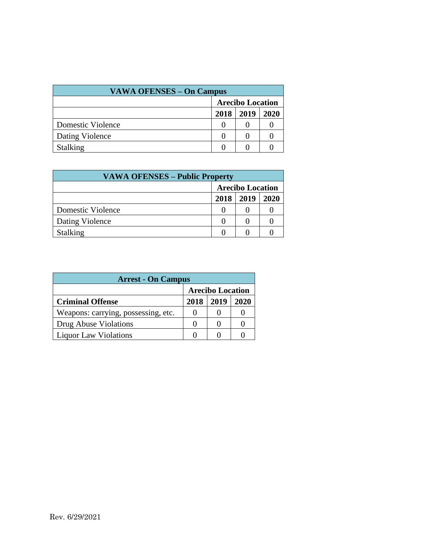| <b>VAWA OFENSES – On Campus</b> |                         |      |      |  |  |  |  |
|---------------------------------|-------------------------|------|------|--|--|--|--|
|                                 | <b>Arecibo Location</b> |      |      |  |  |  |  |
|                                 | 2018                    | 2019 | 2020 |  |  |  |  |
| Domestic Violence               |                         |      |      |  |  |  |  |
| Dating Violence                 |                         |      |      |  |  |  |  |
| <b>Stalking</b>                 |                         |      |      |  |  |  |  |

| <b>VAWA OFENSES – Public Property</b> |                         |  |  |  |  |  |
|---------------------------------------|-------------------------|--|--|--|--|--|
|                                       | <b>Arecibo Location</b> |  |  |  |  |  |
|                                       | 2019<br>2018<br>2020    |  |  |  |  |  |
| Domestic Violence                     |                         |  |  |  |  |  |
| Dating Violence                       |                         |  |  |  |  |  |
| <b>Stalking</b>                       |                         |  |  |  |  |  |

| <b>Arrest - On Campus</b>           |                         |      |      |  |  |  |  |
|-------------------------------------|-------------------------|------|------|--|--|--|--|
|                                     | <b>Arecibo Location</b> |      |      |  |  |  |  |
| <b>Criminal Offense</b>             | 2018                    | 2019 | 2020 |  |  |  |  |
| Weapons: carrying, possessing, etc. | 0                       |      |      |  |  |  |  |
| Drug Abuse Violations               | $\mathbf{\Omega}$       |      |      |  |  |  |  |
| <b>Liquor Law Violations</b>        |                         |      |      |  |  |  |  |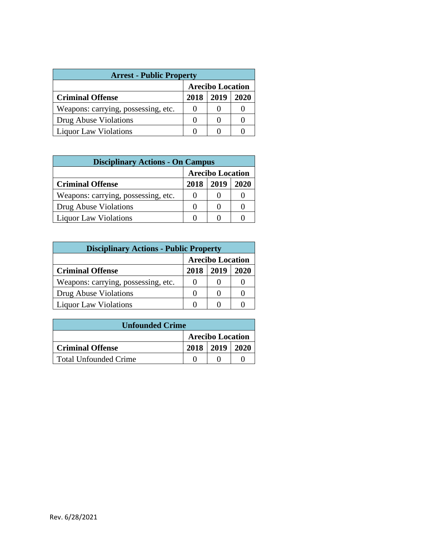| <b>Arrest - Public Property</b>     |                         |  |  |  |  |  |  |
|-------------------------------------|-------------------------|--|--|--|--|--|--|
|                                     | <b>Arecibo Location</b> |  |  |  |  |  |  |
| <b>Criminal Offense</b>             | 2018<br>2019<br>2020    |  |  |  |  |  |  |
| Weapons: carrying, possessing, etc. |                         |  |  |  |  |  |  |
| Drug Abuse Violations               |                         |  |  |  |  |  |  |
| <b>Liquor Law Violations</b>        |                         |  |  |  |  |  |  |

| <b>Disciplinary Actions - On Campus</b> |                         |      |      |  |  |  |
|-----------------------------------------|-------------------------|------|------|--|--|--|
|                                         | <b>Arecibo Location</b> |      |      |  |  |  |
| <b>Criminal Offense</b>                 | 2018                    | 2019 | 2020 |  |  |  |
| Weapons: carrying, possessing, etc.     | $\mathbf{\Omega}$       |      |      |  |  |  |
| Drug Abuse Violations                   | $\mathbf{\Omega}$       |      |      |  |  |  |
| <b>Liquor Law Violations</b>            |                         |      |      |  |  |  |

| <b>Disciplinary Actions - Public Property</b> |                         |      |      |  |  |  |  |
|-----------------------------------------------|-------------------------|------|------|--|--|--|--|
|                                               | <b>Arecibo Location</b> |      |      |  |  |  |  |
| <b>Criminal Offense</b>                       | 2018                    | 2019 | 2020 |  |  |  |  |
| Weapons: carrying, possessing, etc.           |                         |      |      |  |  |  |  |
| Drug Abuse Violations                         | 0                       |      |      |  |  |  |  |
| <b>Liquor Law Violations</b>                  |                         |      |      |  |  |  |  |

| <b>Unfounded Crime</b>  |                         |                      |  |  |  |  |  |  |
|-------------------------|-------------------------|----------------------|--|--|--|--|--|--|
|                         | <b>Arecibo Location</b> |                      |  |  |  |  |  |  |
| <b>Criminal Offense</b> |                         | $2018$   2019   2020 |  |  |  |  |  |  |
| Total Unfounded Crime   |                         |                      |  |  |  |  |  |  |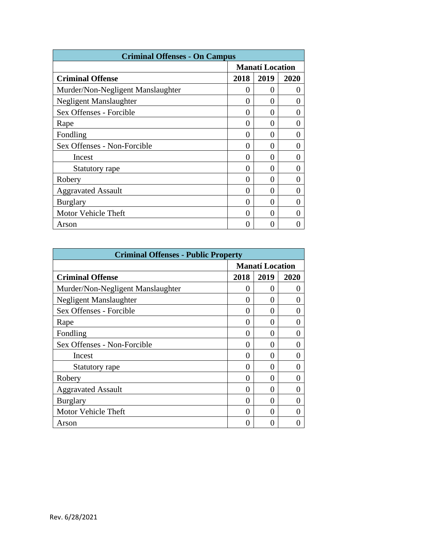| <b>Criminal Offenses - On Campus</b> |                        |                   |      |  |  |  |  |
|--------------------------------------|------------------------|-------------------|------|--|--|--|--|
|                                      | <b>Manatí Location</b> |                   |      |  |  |  |  |
| <b>Criminal Offense</b>              | 2018                   | 2019              | 2020 |  |  |  |  |
| Murder/Non-Negligent Manslaughter    | 0                      | 0                 |      |  |  |  |  |
| Negligent Manslaughter               | 0                      | $\mathbf{\Omega}$ |      |  |  |  |  |
| Sex Offenses - Forcible              | 0                      | 0                 |      |  |  |  |  |
| Rape                                 | 0                      | 0                 |      |  |  |  |  |
| Fondling                             | 0                      | 0                 |      |  |  |  |  |
| Sex Offenses - Non-Forcible          | 0                      | 0                 |      |  |  |  |  |
| Incest                               | 0                      | 0                 |      |  |  |  |  |
| Statutory rape                       | 0                      | 0                 |      |  |  |  |  |
| Robery                               | 0                      | 0                 |      |  |  |  |  |
| <b>Aggravated Assault</b>            | 0                      | 0                 |      |  |  |  |  |
| <b>Burglary</b>                      | 0                      | ∩                 |      |  |  |  |  |
| Motor Vehicle Theft                  | 0                      | $\mathbf{\Omega}$ |      |  |  |  |  |
| Arson                                | 0                      |                   |      |  |  |  |  |

| <b>Criminal Offenses - Public Property</b> |                        |                   |      |  |  |  |  |
|--------------------------------------------|------------------------|-------------------|------|--|--|--|--|
|                                            | <b>Manatí Location</b> |                   |      |  |  |  |  |
| <b>Criminal Offense</b>                    | 2018                   | 2019              | 2020 |  |  |  |  |
| Murder/Non-Negligent Manslaughter          | $\theta$               | 0                 | 0    |  |  |  |  |
| Negligent Manslaughter                     | 0                      | 0                 |      |  |  |  |  |
| Sex Offenses - Forcible                    | 0                      | 0                 |      |  |  |  |  |
| Rape                                       | 0                      |                   |      |  |  |  |  |
| Fondling                                   | 0                      | 0                 |      |  |  |  |  |
| Sex Offenses - Non-Forcible                | 0                      | 0                 | 0    |  |  |  |  |
| Incest                                     | 0                      |                   |      |  |  |  |  |
| Statutory rape                             | 0                      | 0                 |      |  |  |  |  |
| Robery                                     | 0                      | 0                 |      |  |  |  |  |
| <b>Aggravated Assault</b>                  | 0                      | 0                 | 0    |  |  |  |  |
| <b>Burglary</b>                            | 0                      | 0                 |      |  |  |  |  |
| <b>Motor Vehicle Theft</b>                 | 0                      | $\mathbf{\Omega}$ |      |  |  |  |  |
| Arson                                      | 0                      |                   |      |  |  |  |  |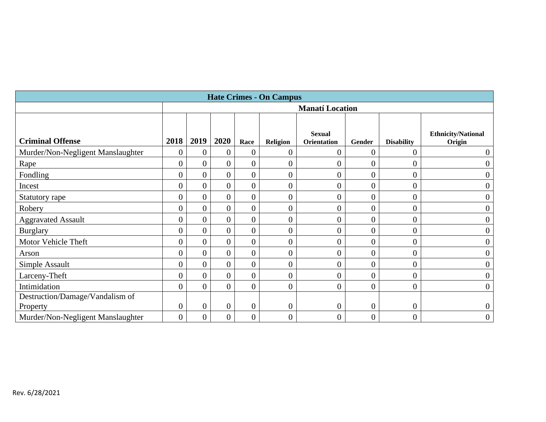| <b>Hate Crimes - On Campus</b>    |                |                        |                |                  |                 |                              |                  |                   |                                     |  |
|-----------------------------------|----------------|------------------------|----------------|------------------|-----------------|------------------------------|------------------|-------------------|-------------------------------------|--|
|                                   |                | <b>Manatí Location</b> |                |                  |                 |                              |                  |                   |                                     |  |
|                                   |                |                        |                |                  |                 |                              |                  |                   |                                     |  |
| <b>Criminal Offense</b>           | 2018           | 2019                   | 2020           | Race             | <b>Religion</b> | <b>Sexual</b><br>Orientation | Gender           | <b>Disability</b> | <b>Ethnicity/National</b><br>Origin |  |
| Murder/Non-Negligent Manslaughter | $\theta$       | $\overline{0}$         | $\overline{0}$ | $\boldsymbol{0}$ | 0               | $\overline{0}$               | $\boldsymbol{0}$ | $\overline{0}$    | $\boldsymbol{0}$                    |  |
| Rape                              | $\overline{0}$ | $\overline{0}$         | $\overline{0}$ | $\boldsymbol{0}$ | 0               | $\overline{0}$               | $\boldsymbol{0}$ | $\boldsymbol{0}$  | $\overline{0}$                      |  |
| Fondling                          | $\overline{0}$ | $\theta$               | $\overline{0}$ | $\boldsymbol{0}$ | 0               | $\overline{0}$               | $\overline{0}$   | $\overline{0}$    | $\boldsymbol{0}$                    |  |
| Incest                            |                | $\overline{0}$         | $\overline{0}$ | $\overline{0}$   | 0               | $\overline{0}$               | $\overline{0}$   | $\overline{0}$    | $\overline{0}$                      |  |
| Statutory rape                    | $\overline{0}$ | $\overline{0}$         | $\overline{0}$ | $\overline{0}$   | $\overline{0}$  | $\overline{0}$               | $\boldsymbol{0}$ | $\boldsymbol{0}$  | $\overline{0}$                      |  |
| Robery                            | $\overline{0}$ | $\overline{0}$         | $\overline{0}$ | $\overline{0}$   | $\overline{0}$  | $\overline{0}$               | $\overline{0}$   | $\boldsymbol{0}$  | $\boldsymbol{0}$                    |  |
| <b>Aggravated Assault</b>         | $\overline{0}$ | $\overline{0}$         | $\overline{0}$ | $\boldsymbol{0}$ | $\overline{0}$  | $\boldsymbol{0}$             | $\boldsymbol{0}$ | $\boldsymbol{0}$  | $\boldsymbol{0}$                    |  |
| <b>Burglary</b>                   | $\overline{0}$ | $\overline{0}$         | $\overline{0}$ | $\overline{0}$   | $\overline{0}$  | $\overline{0}$               | $\boldsymbol{0}$ | $\overline{0}$    | $\boldsymbol{0}$                    |  |
| Motor Vehicle Theft               | $\overline{0}$ | $\overline{0}$         | $\overline{0}$ | $\overline{0}$   | 0               | $\overline{0}$               | 0                | $\boldsymbol{0}$  | $\boldsymbol{0}$                    |  |
| Arson                             | $\overline{0}$ | $\overline{0}$         | $\overline{0}$ | $\overline{0}$   | $\overline{0}$  | $\overline{0}$               | $\boldsymbol{0}$ | $\overline{0}$    | $\overline{0}$                      |  |
| Simple Assault                    | $\overline{0}$ | $\overline{0}$         | $\theta$       | $\overline{0}$   | 0               | $\overline{0}$               | $\boldsymbol{0}$ | $\overline{0}$    | $\boldsymbol{0}$                    |  |
| Larceny-Theft                     | $\overline{0}$ | $\Omega$               | $\Omega$       | $\boldsymbol{0}$ | $\overline{0}$  | $\overline{0}$               | $\overline{0}$   | $\overline{0}$    | $\overline{0}$                      |  |
| Intimidation                      | $\Omega$       | $\overline{0}$         | $\theta$       | $\overline{0}$   | 0               | $\overline{0}$               | $\overline{0}$   | $\boldsymbol{0}$  | $\boldsymbol{0}$                    |  |
| Destruction/Damage/Vandalism of   |                |                        |                |                  |                 |                              |                  |                   |                                     |  |
| Property                          | $\theta$       | $\theta$               | $\Omega$       | $\overline{0}$   | $\overline{0}$  | $\boldsymbol{0}$             | $\boldsymbol{0}$ | $\boldsymbol{0}$  | $\boldsymbol{0}$                    |  |
| Murder/Non-Negligent Manslaughter | $\overline{0}$ | $\overline{0}$         | $\theta$       | $\overline{0}$   | $\overline{0}$  | $\overline{0}$               | $\overline{0}$   | $\overline{0}$    | $\boldsymbol{0}$                    |  |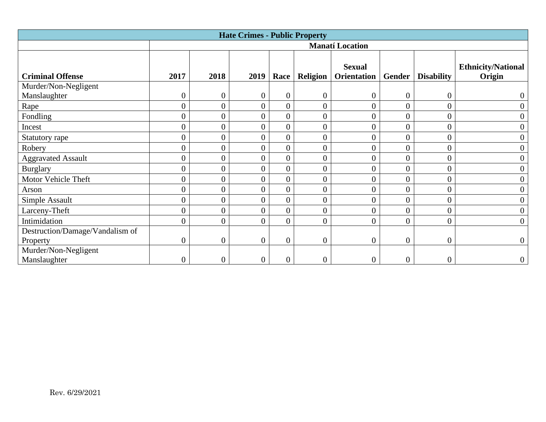| <b>Hate Crimes - Public Property</b> |                  |                  |                  |                  |                  |                              |                  |                   |                                     |  |
|--------------------------------------|------------------|------------------|------------------|------------------|------------------|------------------------------|------------------|-------------------|-------------------------------------|--|
|                                      |                  |                  |                  |                  |                  | <b>Manatí Location</b>       |                  |                   |                                     |  |
| <b>Criminal Offense</b>              | 2017             | 2018             | 2019             | Race             | <b>Religion</b>  | <b>Sexual</b><br>Orientation | Gender           | <b>Disability</b> | <b>Ethnicity/National</b><br>Origin |  |
| Murder/Non-Negligent                 |                  |                  |                  |                  |                  |                              |                  |                   |                                     |  |
| Manslaughter                         | $\boldsymbol{0}$ | $\boldsymbol{0}$ | $\overline{0}$   | $\overline{0}$   | $\overline{0}$   | $\overline{0}$               | $\overline{0}$   | $\overline{0}$    |                                     |  |
| Rape                                 | $\overline{0}$   | $\overline{0}$   | $\overline{0}$   | $\overline{0}$   | $\overline{0}$   | $\overline{0}$               | $\overline{0}$   | $\overline{0}$    | $\overline{0}$                      |  |
| Fondling                             | $\boldsymbol{0}$ | $\boldsymbol{0}$ | $\overline{0}$   | $\overline{0}$   | $\overline{0}$   | $\overline{0}$               | $\overline{0}$   | $\overline{0}$    | $\overline{0}$                      |  |
| Incest                               | $\boldsymbol{0}$ | $\boldsymbol{0}$ | $\overline{0}$   | $\overline{0}$   | $\overline{0}$   | $\overline{0}$               | $\overline{0}$   | $\overline{0}$    | $\boldsymbol{0}$                    |  |
| Statutory rape                       | $\overline{0}$   | $\boldsymbol{0}$ | $\overline{0}$   | $\overline{0}$   | $\overline{0}$   | $\overline{0}$               | $\overline{0}$   | $\overline{0}$    | $\boldsymbol{0}$                    |  |
| Robery                               | $\boldsymbol{0}$ | $\boldsymbol{0}$ | $\overline{0}$   | $\overline{0}$   | $\overline{0}$   | $\overline{0}$               | $\overline{0}$   | $\overline{0}$    | $\boldsymbol{0}$                    |  |
| <b>Aggravated Assault</b>            | $\boldsymbol{0}$ | $\boldsymbol{0}$ | $\boldsymbol{0}$ | $\overline{0}$   | $\overline{0}$   | $\overline{0}$               | $\overline{0}$   | $\overline{0}$    | $\boldsymbol{0}$                    |  |
| <b>Burglary</b>                      | $\overline{0}$   | $\overline{0}$   | $\overline{0}$   | $\overline{0}$   | $\overline{0}$   | $\overline{0}$               | $\overline{0}$   | $\overline{0}$    | $\overline{0}$                      |  |
| Motor Vehicle Theft                  | $\overline{0}$   | $\overline{0}$   | $\overline{0}$   | $\overline{0}$   | $\overline{0}$   | $\overline{0}$               | $\overline{0}$   | $\overline{0}$    | $\overline{0}$                      |  |
| Arson                                | $\boldsymbol{0}$ | $\boldsymbol{0}$ | $\overline{0}$   | $\overline{0}$   | $\overline{0}$   | $\overline{0}$               | $\overline{0}$   | $\overline{0}$    | $\overline{0}$                      |  |
| Simple Assault                       | $\boldsymbol{0}$ | $\boldsymbol{0}$ | $\overline{0}$   | $\overline{0}$   | $\overline{0}$   | $\overline{0}$               | $\overline{0}$   | $\overline{0}$    | $\boldsymbol{0}$                    |  |
| Larceny-Theft                        | $\overline{0}$   | $\boldsymbol{0}$ | $\overline{0}$   | $\overline{0}$   | $\overline{0}$   | $\overline{0}$               | $\overline{0}$   | $\overline{0}$    | $\boldsymbol{0}$                    |  |
| Intimidation                         | $\boldsymbol{0}$ | $\boldsymbol{0}$ | $\overline{0}$   | $\theta$         | $\overline{0}$   | $\overline{0}$               | $\overline{0}$   | $\overline{0}$    | $\overline{0}$                      |  |
| Destruction/Damage/Vandalism of      |                  |                  |                  |                  |                  |                              |                  |                   |                                     |  |
| Property                             | $\boldsymbol{0}$ | $\boldsymbol{0}$ | $\overline{0}$   | $\overline{0}$   | $\boldsymbol{0}$ | $\boldsymbol{0}$             | $\overline{0}$   | $\overline{0}$    | $\overline{0}$                      |  |
| Murder/Non-Negligent                 |                  |                  |                  |                  |                  |                              |                  |                   |                                     |  |
| Manslaughter                         | 0                | $\boldsymbol{0}$ | $\boldsymbol{0}$ | $\boldsymbol{0}$ | 0                | $\boldsymbol{0}$             | $\boldsymbol{0}$ | $\boldsymbol{0}$  | $\theta$                            |  |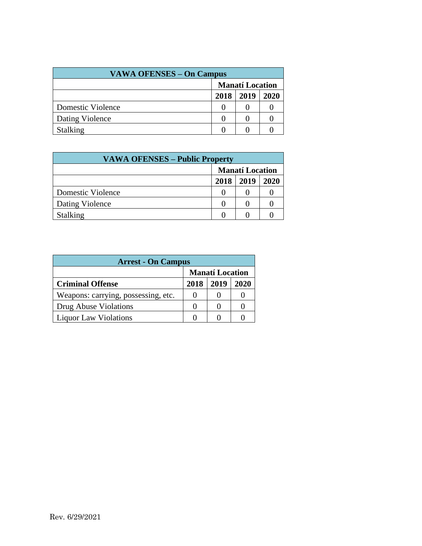| <b>VAWA OFENSES – On Campus</b> |                        |      |      |  |  |  |
|---------------------------------|------------------------|------|------|--|--|--|
|                                 | <b>Manatí Location</b> |      |      |  |  |  |
|                                 | 2018                   | 2019 | 2020 |  |  |  |
| Domestic Violence               |                        |      |      |  |  |  |
| Dating Violence                 |                        |      |      |  |  |  |
| <b>Stalking</b>                 |                        |      |      |  |  |  |

| <b>VAWA OFENSES – Public Property</b> |                        |      |      |  |  |  |  |
|---------------------------------------|------------------------|------|------|--|--|--|--|
|                                       | <b>Manatí Location</b> |      |      |  |  |  |  |
|                                       | 2018                   | 2019 | 2020 |  |  |  |  |
| Domestic Violence                     |                        |      |      |  |  |  |  |
| Dating Violence                       |                        |      |      |  |  |  |  |
| <b>Stalking</b>                       |                        |      |      |  |  |  |  |

| <b>Arrest - On Campus</b>           |                        |      |      |  |  |  |  |  |
|-------------------------------------|------------------------|------|------|--|--|--|--|--|
|                                     | <b>Manatí Location</b> |      |      |  |  |  |  |  |
| <b>Criminal Offense</b>             | 2018                   | 2019 | 2020 |  |  |  |  |  |
| Weapons: carrying, possessing, etc. |                        |      |      |  |  |  |  |  |
| Drug Abuse Violations               |                        |      |      |  |  |  |  |  |
| <b>Liquor Law Violations</b>        |                        |      |      |  |  |  |  |  |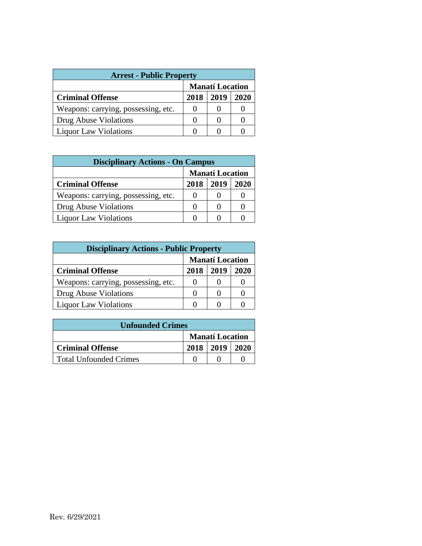| <b>Arrest - Public Property</b>     |                        |      |      |  |  |  |  |  |
|-------------------------------------|------------------------|------|------|--|--|--|--|--|
|                                     | <b>Manatí Location</b> |      |      |  |  |  |  |  |
| <b>Criminal Offense</b>             | 2018                   | 2019 | 2020 |  |  |  |  |  |
| Weapons: carrying, possessing, etc. |                        |      |      |  |  |  |  |  |
| Drug Abuse Violations               |                        |      |      |  |  |  |  |  |
| <b>Liquor Law Violations</b>        |                        |      |      |  |  |  |  |  |

| <b>Disciplinary Actions - On Campus</b> |                        |      |      |  |  |  |  |  |
|-----------------------------------------|------------------------|------|------|--|--|--|--|--|
|                                         | <b>Manatí Location</b> |      |      |  |  |  |  |  |
| <b>Criminal Offense</b>                 | 2018                   | 2019 | 2020 |  |  |  |  |  |
| Weapons: carrying, possessing, etc.     | $\mathbf{0}$           |      |      |  |  |  |  |  |
| Drug Abuse Violations                   | $\theta$               |      |      |  |  |  |  |  |
| <b>Liquor Law Violations</b>            |                        |      |      |  |  |  |  |  |

| <b>Disciplinary Actions - Public Property</b> |                        |      |      |  |  |  |  |
|-----------------------------------------------|------------------------|------|------|--|--|--|--|
|                                               | <b>Manatí Location</b> |      |      |  |  |  |  |
| <b>Criminal Offense</b>                       | 2018                   | 2019 | 2020 |  |  |  |  |
| Weapons: carrying, possessing, etc.           |                        |      |      |  |  |  |  |
| Drug Abuse Violations                         | $\mathbf{\Omega}$      |      |      |  |  |  |  |
| <b>Liquor Law Violations</b>                  |                        |      |      |  |  |  |  |

| <b>Unfounded Crimes</b>       |                        |                      |  |  |  |  |  |
|-------------------------------|------------------------|----------------------|--|--|--|--|--|
|                               | <b>Manatí Location</b> |                      |  |  |  |  |  |
| <b>Criminal Offense</b>       |                        | $2018$   2019   2020 |  |  |  |  |  |
| <b>Total Unfounded Crimes</b> |                        |                      |  |  |  |  |  |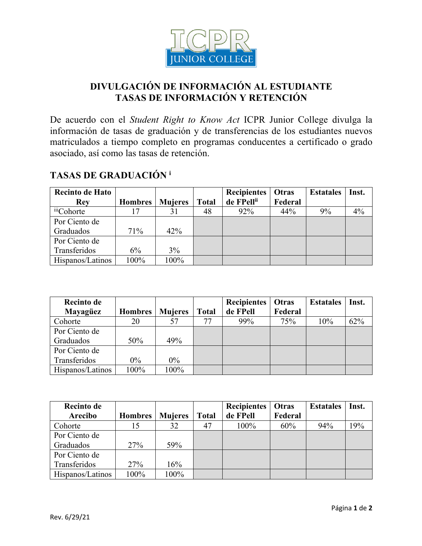

## **DIVULGACIÓN DE INFORMACIÓN AL ESTUDIANTE TASAS DE INFORMACIÓN Y RETENCIÓN**

De acuerdo con el *Student Right to Know Act* ICPR Junior College divulga la información de tasas de graduación y de transferencias de los estudiantes nuevos matriculados a tiempo completo en programas conducentes a certificado o grado asociado, así como las tasas de retención.

## **TASAS DE GRADUACIÓN <sup>i</sup>**

| <b>Recinto de Hato</b> |                |                |              | <b>Recipientes</b> | Otras   | <b>Estatales</b> | Inst. |
|------------------------|----------------|----------------|--------------|--------------------|---------|------------------|-------|
| <b>Rev</b>             | <b>Hombres</b> | <b>Mujeres</b> | <b>Total</b> | de FPellii         | Federal |                  |       |
| <sup>iii</sup> Cohorte | ۱7             | 31             | 48           | 92%                | 44%     | 9%               | 4%    |
| Por Ciento de          |                |                |              |                    |         |                  |       |
| Graduados              | 71%            | 42%            |              |                    |         |                  |       |
| Por Ciento de          |                |                |              |                    |         |                  |       |
| Transferidos           | 6%             | 3%             |              |                    |         |                  |       |
| Hispanos/Latinos       | 100%           | 100%           |              |                    |         |                  |       |

| Recinto de       |                |                |              | <b>Recipientes</b> | Otras   | <b>Estatales</b> | Inst. |
|------------------|----------------|----------------|--------------|--------------------|---------|------------------|-------|
| Mayagüez         | <b>Hombres</b> | <b>Mujeres</b> | <b>Total</b> | de FPell           | Federal |                  |       |
| Cohorte          | 20             | 57             | 77           | 99%                | 75%     | 10%              | 62%   |
| Por Ciento de    |                |                |              |                    |         |                  |       |
| Graduados        | 50%            | 49%            |              |                    |         |                  |       |
| Por Ciento de    |                |                |              |                    |         |                  |       |
| Transferidos     | $0\%$          | $0\%$          |              |                    |         |                  |       |
| Hispanos/Latinos | 100%           | 100%           |              |                    |         |                  |       |

| <b>Recinto de</b> |                |                |              | <b>Recipientes</b> | Otras   | <b>Estatales</b> | Inst. |
|-------------------|----------------|----------------|--------------|--------------------|---------|------------------|-------|
| Arecibo           | <b>Hombres</b> | <b>Mujeres</b> | <b>Total</b> | de FPell           | Federal |                  |       |
| Cohorte           | 15             | 32             | 47           | 100%               | 60%     | 94%              | 19%   |
| Por Ciento de     |                |                |              |                    |         |                  |       |
| Graduados         | 27%            | 59%            |              |                    |         |                  |       |
| Por Ciento de     |                |                |              |                    |         |                  |       |
| Transferidos      | 27%            | 16%            |              |                    |         |                  |       |
| Hispanos/Latinos  | 100%           | 100%           |              |                    |         |                  |       |